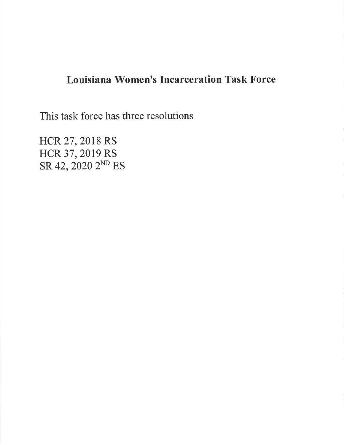# Louisiana Women's fncarceration Task Force

This task force has three resolutions

HCR 27, 2018 RS HCR 37, 2019 RS SR 42, 2O2O 2ND ES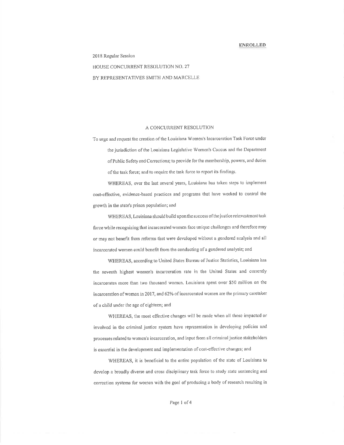2018 Regular Session

HOUSE CONCURRENT RESOLUTION NO. 27 BY REPRESENTATIVES SMITH AND MARCELLE

### A CONCURRENT RESOLUTION

To urge and request the creation of the Louisiana Women's Incarceration Task Force under the jurisdiction of the Louisiana Legislative Women's Caucus and the Department of Public Safety and Corrections; to provide for the membership, powers, and duties of the task force; and to require the task force to report its findings.

WHEREAS, over the last several years, Louisiana has taken steps to implement cost-effective, evidence-based practices and programs that have worked to control the growth in the state's prison population; and

WHEREAS, Louisiana should build upon the success of the justice reinvestment task force while recognizing that incarcerated women face unique challenges and therefore may or may not benefit from reforms that were developed without a gendered analysis and all incarcerated women could benefit from the conducting of a gendered analysis; and

WHEREAS, according to United States Bureau of Justice Statistics, Louisiana has the seventh highest women's incarceration rate in the United States and currently incarcerates more than two thousand women. Louisiana spent over \$50 million on the incarceration of women in 2017, and 62% of incarcerated women are the primary caretaker of a child under the age of eighteen; and

WHEREAS, the most effective changes will be made when all those impacted or involved in the criminal justice system have representation in developing policies and processes related to women's incarceration, and input from all criminal justice stakeholders is essential in the development and implementation of cost-effective changes; and

WHEREAS, it is beneficial to the entire population of the state of Louisiana to develop a broadly diverse and cross disciplinary task force to study state sentencing and correction systems for women with the goal of producing a body of research resulting in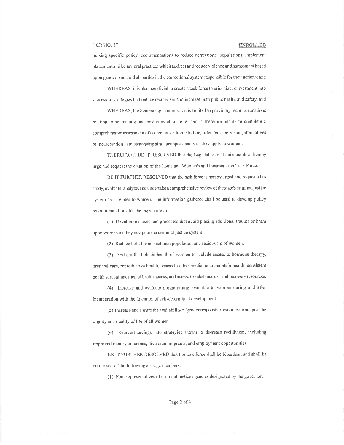**HCR NO. 27** 

making specific policy recommendations to reduce correctional populations, implement placement and behavioral practices which address and reduce violence and harassment based upon gender, and hold all parties in the correctional system responsible for their actions; and

WHEREAS, it is also beneficial to create a task force to prioritize reinvestment into successful strategies that reduce recidivism and increase both public health and safety; and

WHEREAS, the Sentencing Commission is limited to providing recommendations relating to sentencing and post-conviction relief and is therefore unable to complete a comprehensive assessment of corrections administration, offender supervision, alternatives to incarceration, and sentencing structure specifically as they apply to women.

THEREFORE, BE IT RESOLVED that the Legislature of Louisiana does hereby urge and request the creation of the Louisiana Women's and Incarceration Task Force.

BE IT FURTHER RESOLVED that the task force is hereby urged and requested to study, evaluate, analyze, and undertake a comprehensive review of the state's criminal justice system as it relates to women. The information gathered shall be used to develop policy recommendations for the legislature to:

(1) Develop practices and processes that avoid placing additional trauma or harm upon women as they navigate the criminal justice system.

(2) Reduce both the correctional population and recidivism of women.

(3) Address the holistic health of women to include access to hormone therapy, prenatal care, reproductive health, access to other medicine to maintain health, consistent health screenings, mental health access, and access to substance use and recovery resources.

(4) Increase and evaluate programming available to women during and after incarceration with the intention of self-determined development.

(5) Increase and ensure the availability of gender responsive resources to support the dignity and quality of life of all women.

(6) Reinvest savings into strategies shown to decrease recidivism, including improved reentry outcomes, diversion programs, and employment opportunities.

BE IT FURTHER RESOLVED that the task force shall be bipartisan and shall be composed of the following at-large members:

(1) Four representatives of criminal justice agencies designated by the governor.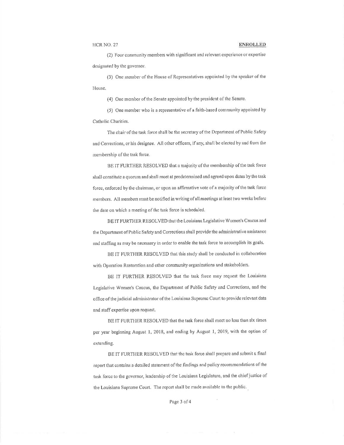(2) Four community members with significant and relevant experience or expertise designated by the governor.

(3) One member of the House of Representatives appointed by the speaker of the House.

(4) One member of the Senate appointed by the president of the Senate.

(5) One member who is a representative of a faith-based community appointed by Catholic Charities.

The chair of the task force shall be the secretary of the Department of Public Safety and Corrections, or his designee. All other officers, if any, shall be elected by and from the membership of the task force.

BE IT FURTHER RESOLVED that a majority of the membership of the task force shall constitute a quorum and shall meet at predetermined and agreed upon dates by the task force, enforced by the chairman, or upon an affirmative vote of a majority of the task force members. All members must be notified in writing of all meetings at least two weeks before the date on which a meeting of the task force is scheduled.

BE IT FURTHER RESOLVED that the Louisiana Legislative Women's Caucus and the Department of Public Safety and Corrections shall provide the administrative assistance and staffing as may be necessary in order to enable the task force to accomplish its goals.

BE IT FURTHER RESOLVED that this study shall be conducted in collaboration with Operation Restoration and other community organizations and stakeholders.

BE IT FURTHER RESOLVED that the task force may request the Louisiana Legislative Women's Caucus, the Department of Public Safety and Corrections, and the office of the judicial administrator of the Louisiana Supreme Court to provide relevant data and staff expertise upon request.

BE IT FURTHER RESOLVED that the task force shall meet no less than six times per year beginning August 1, 2018, and ending by August 1, 2019, with the option of extending.

BE IT FURTHER RESOLVED that the task force shall prepare and submit a final report that contains a detailed statement of the findings and policy recommendations of the task force to the governor, leadership of the Louisiana Legislature, and the chief justice of the Louisiana Supreme Court. The report shall be made available to the public.

Page 3 of 4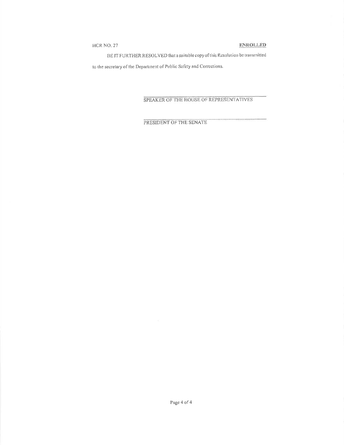# HCR NO. 27

# **ENROLLED**

BE IT FURTHER RESOLVED that a suitable copy of this Resolution be transmitted

to the secretary of the Department of Public Safety and Corrections.

# SPEAKER OF THE HOUSE OF REPRESENTATIVES

PRESIDENT OF THE SENATE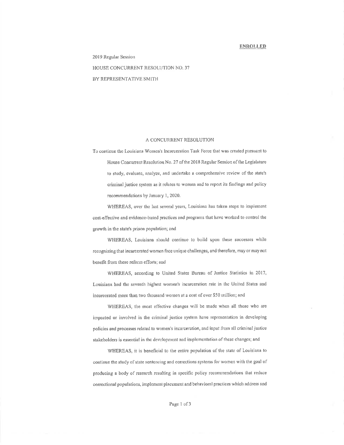2019 Regular Session HOUSE CONCURRENT RESOLUTION NO. 37 BY REPRESENTATIVE SMITH

## A CONCURRENT RESOLUTION

To continue the Louisiana Women's Incarceration Task Force that was created pursuant to House Concurrent Resolution No. 27 of the 2018 Regular Session of the Legislature to study, evaluate, analyze, and undertake a comprehensive review of the state's criminal justice system as it relates to women and to report its findings and policy recommendations by January 1, 2020.

WHEREAS, over the last several years, Louisiana has taken steps to implement cost-effective and evidence-based practices and programs that have worked to control the growth in the state's prison population; and

WHEREAS, Louisiana should continue to build upon these successes while recognizing that incarcerated women face unique challenges, and therefore, may or may not benefit from these reform efforts; and

WHEREAS, according to United States Bureau of Justice Statistics in 2017, Louisiana had the seventh highest women's incarceration rate in the United States and incarcerated more than two thousand women at a cost of over \$50 million; and

WHEREAS, the most effective changes will be made when all those who are impacted or involved in the criminal justice system have representation in developing policies and processes related to women's incarceration, and input from all criminal justice stakeholders is essential in the development and implementation of these changes; and

WHEREAS, it is beneficial to the entire population of the state of Louisiana to continue the study of state sentencing and corrections systems for women with the goal of producing a body of research resulting in specific policy recommendations that reduce correctional populations, implement placement and behavioral practices which address and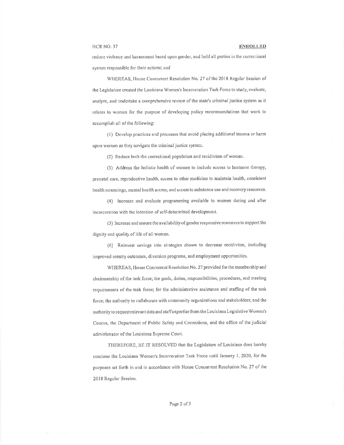### HCR NO. 37

### **ENROLLED**

reduce violence and harassment based upon gender, and hold all parties in the correctional system responsible for their actions; and

WHEREAS, House Concurrent Resolution No. 27 of the 2018 Regular Session of the Legislature created the Louisiana Women's Incarceration Task Force to study, evaluate, analyze, and undertake a comprehensive review of the state's criminal justice system as it relates to women for the purpose of developing policy recommendations that work to accomplish all of the following:

(1) Develop practices and processes that avoid placing additional trauma or harm upon women as they navigate the criminal justice system.

(2) Reduce both the correctional population and recidivism of women.

(3) Address the holistic health of women to include access to hormone therapy, prenatal care, reproductive health, access to other medicine to maintain health, consistent health screenings, mental health access, and access to substance use and recovery resources.

(4) Increase and evaluate programming available to women during and after incarceration with the intention of self-determined development.

(5) Increase and ensure the availability of gender responsive resources to support the dignity and quality of life of all women.

(6) Reinvest savings into strategies shown to decrease recidivism, including improved reentry outcomes, diversion programs, and employment opportunities.

WHEREAS, House Concurrent Resolution No. 27 provided for the membership and chairmanship of the task force; the goals, duties, responsibilities, procedures, and meeting requirements of the task force; for the administrative assistance and staffing of the task force; the authority to collaborate with community organizations and stakeholders; and the authority to request relevant data and staff expertise from the Louisiana Legislative Women's Caucus, the Department of Public Safety and Corrections, and the office of the judicial administrator of the Louisiana Supreme Court.

THEREFORE, BE IT RESOLVED that the Legislature of Louisiana does hereby continue the Louisiana Women's Incarceration Task Force until January 1, 2020, for the purposes set forth in and in accordance with House Concurrent Resolution No. 27 of the 2018 Regular Session.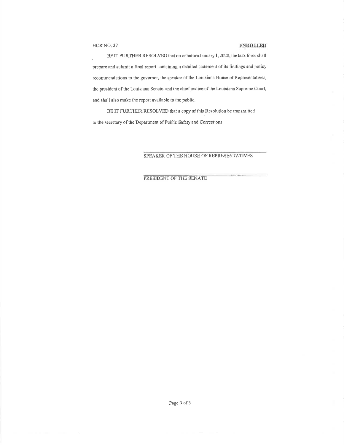# HCR NO. 37 ENROLLED

BE IT FURTHER RESOLVED that on or before January 1, 2020, the task force shall prepare and submit a final report containing a detailed statement of its findings and policy recommendations to the governor, the speaker of the Louisiana House of Representatives, the president of the Louisiana Senate, and the chief justice of the Louisiana Supreme Court, and shall also makc the report available to the public.

BE IT FURTHER RESOLVED that a copy of this Resolution be transmitted to the secretary of the Department of Public Safety and Corrections.

# SPEAKER OF THE HOUSE OF REPRESENTATIVES

PRESIDENT OF THE SENATE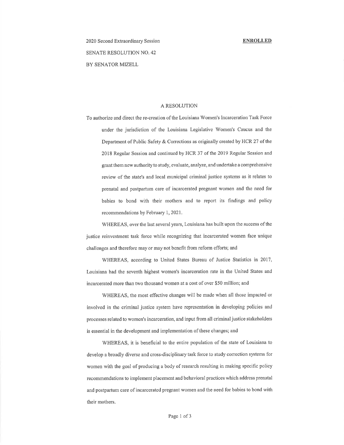2020 Second Extraordinary Session SENATE RESOLUTION NO. 42 BY SENATOR MIZELL

# A RESOLUTION

To authorize and direct the re-creation of the Louisiana Women's Incarceration Task Force under the jurisdiction of the Louisiana Legislative Women's Caucus and the Department of Public Safety & Corrections as originally created by HCR 27 of the 2018 Regular Session and continued by HCR 37 of the 2019 Regular Session and grant them new authority to study, evaluate ,analyze, and undertake a comprehensive review of the state's and local municipal criminal justice systems as it relates to prenatal and postpartum care of incarcerated pregnant women and the need for babies to bond with their mothers and to report its findings and policy recommendations by February l, 2021.

WHEREAS, over the last several years, Louisiana has built upon the success of the justice reinvestment task force while recognizing that incarcerated women face unique challenges and therefore may or may not benefit from reform efforts; and

WHEREAS, according to United States Bureau of Justice Statistics in 2017, Louisiana had the seventh highest women's incarceration rate in the United States and incarcerated more than two thousand women at a cost of over \$50 million; and

WHEREAS, the most effective changes will be made when all those impacted or involved in the criminal justice system have representation in developing policies and processes related to women's incarceration, and input from all crirninal justice stakeholders is essential in the development and implementation of these changes; and

WHEREAS, it is beneficial to the entire population of the state of Louisiana to develop a broadly diverse and cross-disciplinary task force to study correction systems for women with the goal of producing a body of research resulting in making specific policy recommendations to implement placement and behavioral practices which address prenatal and postpartum care of incarcerated pregnant women and the need for babies to bond with their mothers.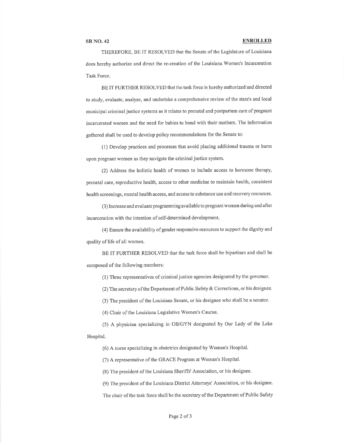### SRNO.42 ENROLLED

THEREFORE, BE IT RESOLVED that the Senate of the Legislature of Louisiana does hereby authorize and direct the re-creation of the Louisiana Women's Incarceration Task Force.

BE IT FURTHER RESOLVED that the task force is hereby authorized and directed to study, evaluate, analyze, and undertake a comprehensive review of the state's and local municipal criminal justice systems as it relates to prenatal and postpartum care of pregnant incarcerated women and the need for babies to bond with their mothers. The information gathered shall be used to develop policy recommendations for the Senate to:

(1) Develop practices and processes that avoid placing additional trauma or harm upon pregnant women as they navigate the criminal justice system.

(2) Address the holistic health of women to include access to hormone therapy, prenatal care, reproductive health, access to other medicine to maintain health, consistent health screenings, mental health access, and access to substance use and recovery resources.

(3) Increase and evaluate programming available to pregnant women during and after incarceration with the intention of self-determined development.

(4) Ensure the availability of gender responsive resources to support the dignity and quality of life of all women.

BE IT FURTHER RESOLVED that the task force shall be bipartisan and shall be composed of the following members:

(1) Three representatives of criminal justice agencies designated by the governor.

(2) The secretary of the Department of Public Safety & Corrections, or his designee.

(3) The president of the Louisiana Senate, or his designee who shall be a senator.

(4) Chair of the Louisiana Legislative Women's Caucus.

(5) A physician specializing in OB/GYN designated by Our Lady of the Lake Hospital.

(6) A nurse specializing in obstetrics designated by Woman's Hospital.

(7) A representative of the GRACE Program at Woman's Hospital'

(8) The president of the Louisiana Sheriffs' Association, or his designee.

(9) The president of the Louisiana District Attorneys' Association, or his designee.

The chair of the task force shall be the secretary of the Department of Public Safety